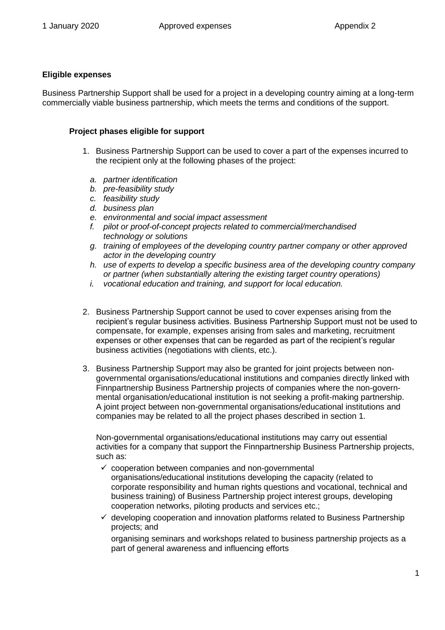## **Eligible expenses**

Business Partnership Support shall be used for a project in a developing country aiming at a long-term commercially viable business partnership, which meets the terms and conditions of the support.

## **Project phases eligible for support**

- 1. Business Partnership Support can be used to cover a part of the expenses incurred to the recipient only at the following phases of the project:
	- *a. partner identification*
	- *b. pre-feasibility study*
	- *c. feasibility study*
	- *d. business plan*
	- *e. environmental and social impact assessment*
	- *f. pilot or proof-of-concept projects related to commercial/merchandised technology or solutions*
	- *g. training of employees of the developing country partner company or other approved actor in the developing country*
	- *h. use of experts to develop a specific business area of the developing country company or partner (when substantially altering the existing target country operations)*
	- *i. vocational education and training, and support for local education.*
- 2. Business Partnership Support cannot be used to cover expenses arising from the recipient's regular business activities. Business Partnership Support must not be used to compensate, for example, expenses arising from sales and marketing, recruitment expenses or other expenses that can be regarded as part of the recipient's regular business activities (negotiations with clients, etc.).
- 3. Business Partnership Support may also be granted for joint projects between nongovernmental organisations/educational institutions and companies directly linked with Finnpartnership Business Partnership projects of companies where the non-governmental organisation/educational institution is not seeking a profit-making partnership. A joint project between non-governmental organisations/educational institutions and companies may be related to all the project phases described in section 1.

Non-governmental organisations/educational institutions may carry out essential activities for a company that support the Finnpartnership Business Partnership projects, such as:

- $\checkmark$  cooperation between companies and non-governmental organisations/educational institutions developing the capacity (related to corporate responsibility and human rights questions and vocational, technical and business training) of Business Partnership project interest groups, developing cooperation networks, piloting products and services etc.;
- $\checkmark$  developing cooperation and innovation platforms related to Business Partnership projects; and

organising seminars and workshops related to business partnership projects as a part of general awareness and influencing efforts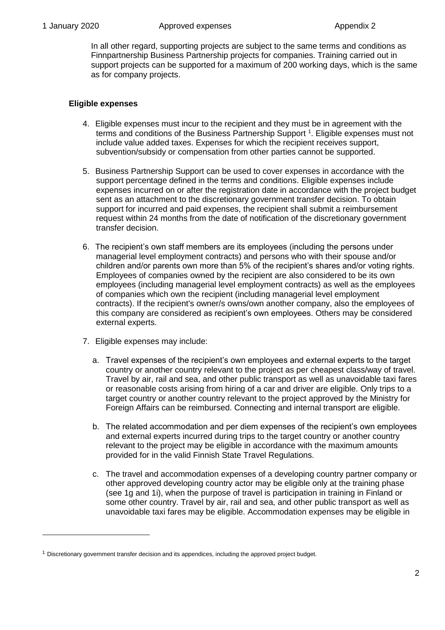**.** 

In all other regard, supporting projects are subject to the same terms and conditions as Finnpartnership Business Partnership projects for companies. Training carried out in support projects can be supported for a maximum of 200 working days, which is the same as for company projects.

## **Eligible expenses**

- 4. Eligible expenses must incur to the recipient and they must be in agreement with the terms and conditions of the Business Partnership Support <sup>1</sup>. Eligible expenses must not include value added taxes. Expenses for which the recipient receives support, subvention/subsidy or compensation from other parties cannot be supported.
- 5. Business Partnership Support can be used to cover expenses in accordance with the support percentage defined in the terms and conditions. Eligible expenses include expenses incurred on or after the registration date in accordance with the project budget sent as an attachment to the discretionary government transfer decision. To obtain support for incurred and paid expenses, the recipient shall submit a reimbursement request within 24 months from the date of notification of the discretionary government transfer decision.
- 6. The recipient's own staff members are its employees (including the persons under managerial level employment contracts) and persons who with their spouse and/or children and/or parents own more than 5% of the recipient's shares and/or voting rights. Employees of companies owned by the recipient are also considered to be its own employees (including managerial level employment contracts) as well as the employees of companies which own the recipient (including managerial level employment contracts). If the recipient's owner/s owns/own another company, also the employees of this company are considered as recipient's own employees. Others may be considered external experts.
- 7. Eligible expenses may include:
	- a. Travel expenses of the recipient's own employees and external experts to the target country or another country relevant to the project as per cheapest class/way of travel. Travel by air, rail and sea, and other public transport as well as unavoidable taxi fares or reasonable costs arising from hiring of a car and driver are eligible. Only trips to a target country or another country relevant to the project approved by the Ministry for Foreign Affairs can be reimbursed. Connecting and internal transport are eligible.
	- b. The related accommodation and per diem expenses of the recipient's own employees and external experts incurred during trips to the target country or another country relevant to the project may be eligible in accordance with the maximum amounts provided for in the valid Finnish State Travel Regulations.
	- c. The travel and accommodation expenses of a developing country partner company or other approved developing country actor may be eligible only at the training phase (see 1g and 1i), when the purpose of travel is participation in training in Finland or some other country. Travel by air, rail and sea, and other public transport as well as unavoidable taxi fares may be eligible. Accommodation expenses may be eligible in

 $1$  Discretionary government transfer decision and its appendices, including the approved project budget.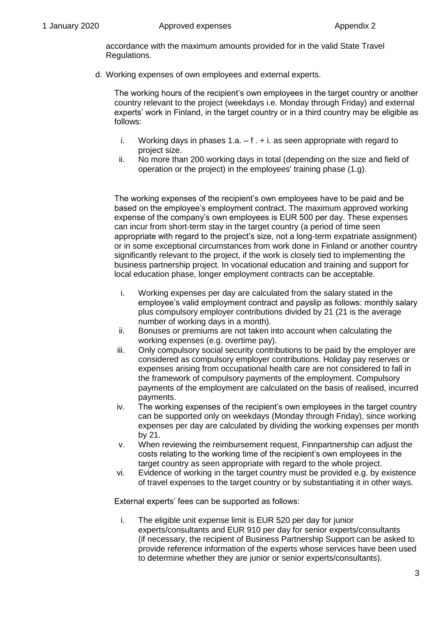accordance with the maximum amounts provided for in the valid State Travel Regulations.

d. Working expenses of own employees and external experts.

The working hours of the recipient's own employees in the target country or another country relevant to the project (weekdays i.e. Monday through Friday) and external experts' work in Finland, in the target country or in a third country may be eligible as follows:

- i. Working days in phases  $1.a. f. + i.$  as seen appropriate with regard to project size.
- ii. No more than 200 working days in total (depending on the size and field of operation or the project) in the employees' training phase (1.g).

The working expenses of the recipient's own employees have to be paid and be based on the employee's employment contract. The maximum approved working expense of the company's own employees is EUR 500 per day. These expenses can incur from short-term stay in the target country (a period of time seen appropriate with regard to the project's size, not a long-term expatriate assignment) or in some exceptional circumstances from work done in Finland or another country significantly relevant to the project, if the work is closely tied to implementing the business partnership project. In vocational education and training and support for local education phase, longer employment contracts can be acceptable.

- i. Working expenses per day are calculated from the salary stated in the employee's valid employment contract and payslip as follows: monthly salary plus compulsory employer contributions divided by 21 (21 is the average number of working days in a month).
- ii. Bonuses or premiums are not taken into account when calculating the working expenses (e.g. overtime pay).
- iii. Only compulsory social security contributions to be paid by the employer are considered as compulsory employer contributions. Holiday pay reserves or expenses arising from occupational health care are not considered to fall in the framework of compulsory payments of the employment. Compulsory payments of the employment are calculated on the basis of realised, incurred payments.
- iv. The working expenses of the recipient's own employees in the target country can be supported only on weekdays (Monday through Friday), since working expenses per day are calculated by dividing the working expenses per month by 21.
- v. When reviewing the reimbursement request, Finnpartnership can adjust the costs relating to the working time of the recipient's own employees in the target country as seen appropriate with regard to the whole project.
- vi. Evidence of working in the target country must be provided e.g. by existence of travel expenses to the target country or by substantiating it in other ways.

External experts' fees can be supported as follows:

i. The eligible unit expense limit is EUR 520 per day for junior experts/consultants and EUR 910 per day for senior experts/consultants (if necessary, the recipient of Business Partnership Support can be asked to provide reference information of the experts whose services have been used to determine whether they are junior or senior experts/consultants).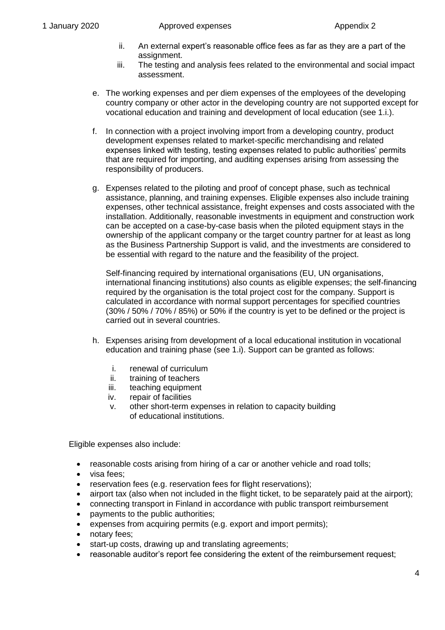- ii. An external expert's reasonable office fees as far as they are a part of the assignment.
- iii. The testing and analysis fees related to the environmental and social impact assessment.
- e. The working expenses and per diem expenses of the employees of the developing country company or other actor in the developing country are not supported except for vocational education and training and development of local education (see 1.i.).
- f. In connection with a project involving import from a developing country, product development expenses related to market-specific merchandising and related expenses linked with testing, testing expenses related to public authorities' permits that are required for importing, and auditing expenses arising from assessing the responsibility of producers.
- g. Expenses related to the piloting and proof of concept phase, such as technical assistance, planning, and training expenses. Eligible expenses also include training expenses, other technical assistance, freight expenses and costs associated with the installation. Additionally, reasonable investments in equipment and construction work can be accepted on a case-by-case basis when the piloted equipment stays in the ownership of the applicant company or the target country partner for at least as long as the Business Partnership Support is valid, and the investments are considered to be essential with regard to the nature and the feasibility of the project.

Self-financing required by international organisations (EU, UN organisations, international financing institutions) also counts as eligible expenses; the self-financing required by the organisation is the total project cost for the company. Support is calculated in accordance with normal support percentages for specified countries (30% / 50% / 70% / 85%) or 50% if the country is yet to be defined or the project is carried out in several countries.

- h. Expenses arising from development of a local educational institution in vocational education and training phase (see 1.i). Support can be granted as follows:
	- i. renewal of curriculum
	- ii. training of teachers
	- iii. teaching equipment
	- iv. repair of facilities
	- v. other short-term expenses in relation to capacity building of educational institutions.

Eligible expenses also include:

- reasonable costs arising from hiring of a car or another vehicle and road tolls;
- visa fees:
- reservation fees (e.g. reservation fees for flight reservations);
- airport tax (also when not included in the flight ticket, to be separately paid at the airport);
- connecting transport in Finland in accordance with public transport reimbursement
- payments to the public authorities;
- expenses from acquiring permits (e.g. export and import permits);
- notary fees;
- start-up costs, drawing up and translating agreements;
- reasonable auditor's report fee considering the extent of the reimbursement request;